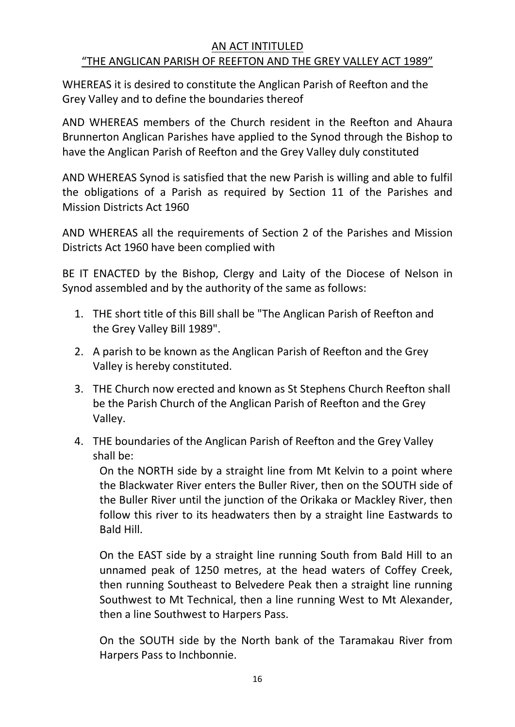## AN ACT INTITULED "THE ANGLICAN PARISH OF REEFTON AND THE GREY VALLEY ACT 1989"

WHEREAS it is desired to constitute the Anglican Parish of Reefton and the Grey Valley and to define the boundaries thereof

AND WHEREAS members of the Church resident in the Reefton and Ahaura Brunnerton Anglican Parishes have applied to the Synod through the Bishop to have the Anglican Parish of Reefton and the Grey Valley duly constituted

AND WHEREAS Synod is satisfied that the new Parish is willing and able to fulfil the obligations of a Parish as required by Section 11 of the Parishes and Mission Districts Act 1960

AND WHEREAS all the requirements of Section 2 of the Parishes and Mission Districts Act 1960 have been complied with

BE IT ENACTED by the Bishop, Clergy and Laity of the Diocese of Nelson in Synod assembled and by the authority of the same as follows:

- 1. THE short title of this Bill shall be "The Anglican Parish of Reefton and the Grey Valley Bill 1989".
- 2. A parish to be known as the Anglican Parish of Reefton and the Grey Valley is hereby constituted.
- 3. THE Church now erected and known as St Stephens Church Reefton shall be the Parish Church of the Anglican Parish of Reefton and the Grey Valley.
- 4. THE boundaries of the Anglican Parish of Reefton and the Grey Valley shall be:

On the NORTH side by a straight line from Mt Kelvin to a point where the Blackwater River enters the Buller River, then on the SOUTH side of the Buller River until the junction of the Orikaka or Mackley River, then follow this river to its headwaters then by a straight line Eastwards to Bald Hill.

On the EAST side by a straight line running South from Bald Hill to an unnamed peak of 1250 metres, at the head waters of Coffey Creek, then running Southeast to Belvedere Peak then a straight line running Southwest to Mt Technical, then a line running West to Mt Alexander, then a line Southwest to Harpers Pass.

On the SOUTH side by the North bank of the Taramakau River from Harpers Pass to Inchbonnie.